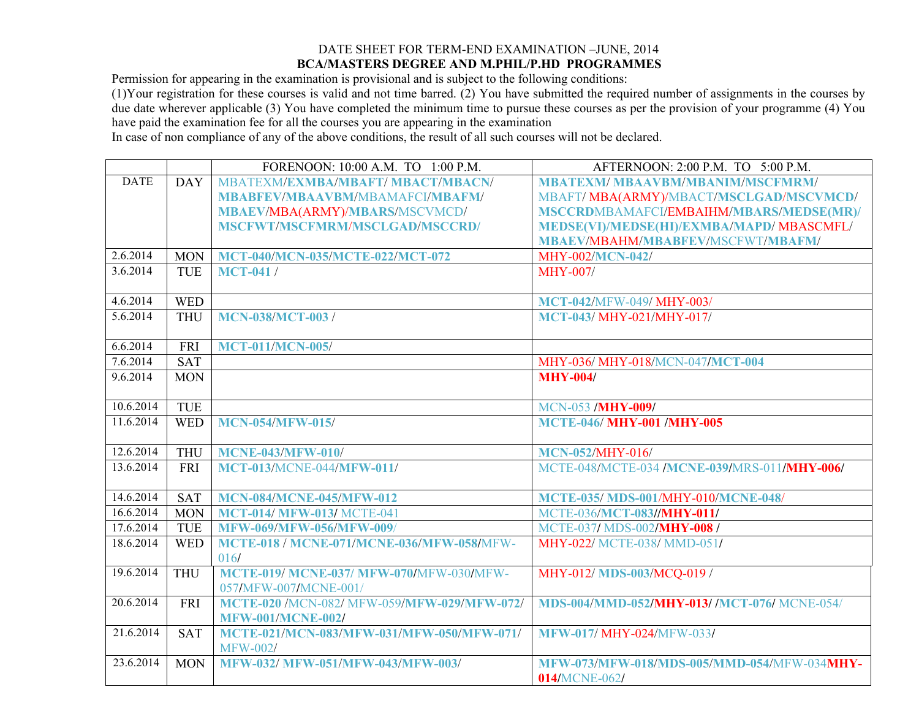## DATE SHEET FOR TERM-END EXAMINATION –JUNE, 2014 **BCA/MASTERS DEGREE AND M.PHIL/P.HD PROGRAMMES**

Permission for appearing in the examination is provisional and is subject to the following conditions:

(1)Your registration for these courses is valid and not time barred. (2) You have submitted the required number of assignments in the courses by due date wherever applicable (3) You have completed the minimum time to pursue these courses as per the provision of your programme (4) You have paid the examination fee for all the courses you are appearing in the examination

In case of non compliance of any of the above conditions, the result of all such courses will not be declared.

|             |            | FORENOON: 10:00 A.M. TO 1:00 P.M.                | AFTERNOON: 2:00 P.M. TO 5:00 P.M.                  |
|-------------|------------|--------------------------------------------------|----------------------------------------------------|
| <b>DATE</b> | <b>DAY</b> | <b>MBATEXM/EXMBA/MBAFT/ MBACT/MBACN/</b>         | <b>MBATEXM/MBAAVBM/MBANIM/MSCFMRM/</b>             |
|             |            | <b>MBABFEV/MBAAVBM/MBAMAFCI/MBAFM/</b>           | MBAFT/MBA(ARMY)/MBACT/MSCLGAD/MSCVMCD/             |
|             |            | <b>MBAEV/MBA(ARMY)/MBARS/MSCVMCD/</b>            | MSCCRDMBAMAFCI/EMBAIHM/MBARS/MEDSE(MR)/            |
|             |            | MSCFWT/MSCFMRM/MSCLGAD/MSCCRD/                   | MEDSE(VI)/MEDSE(HI)/EXMBA/MAPD/ MBASCMFL/          |
|             |            |                                                  | <b>MBAEV/MBAHM/MBABFEV/MSCFWT/MBAFM/</b>           |
| 2.6.2014    | <b>MON</b> | MCT-040/MCN-035/MCTE-022/MCT-072                 | <b>MHY-002/MCN-042/</b>                            |
| 3.6.2014    | <b>TUE</b> | <b>MCT-041/</b>                                  | <b>MHY-007/</b>                                    |
|             |            |                                                  |                                                    |
| 4.6.2014    | <b>WED</b> |                                                  | MCT-042/MFW-049/ MHY-003/                          |
| 5.6.2014    | <b>THU</b> | <b>MCN-038/MCT-003/</b>                          | MCT-043/ MHY-021/MHY-017/                          |
|             |            |                                                  |                                                    |
| 6.6.2014    | <b>FRI</b> | <b>MCT-011/MCN-005/</b>                          |                                                    |
| 7.6.2014    | SAT        |                                                  | MHY-036/ MHY-018/MCN-047/MCT-004                   |
| 9.6.2014    | <b>MON</b> |                                                  | <b>MHY-004/</b>                                    |
| 10.6.2014   | <b>TUE</b> |                                                  | <b>MCN-053 /MHY-009/</b>                           |
| 11.6.2014   | <b>WED</b> | <b>MCN-054/MFW-015/</b>                          | <b>MCTE-046/ MHY-001 /MHY-005</b>                  |
|             |            |                                                  |                                                    |
| 12.6.2014   | <b>THU</b> | <b>MCNE-043/MFW-010/</b>                         | <b>MCN-052/MHY-016/</b>                            |
| 13.6.2014   | <b>FRI</b> | <b>MCT-013/MCNE-044/MFW-011/</b>                 | MCTE-048/MCTE-034 /MCNE-039/MRS-011/MHY-006/       |
|             |            |                                                  |                                                    |
| 14.6.2014   | <b>SAT</b> | <b>MCN-084/MCNE-045/MFW-012</b>                  | <b>MCTE-035/ MDS-001/MHY-010/MCNE-048/</b>         |
| 16.6.2014   | <b>MON</b> | <b>MCT-014/ MFW-013/ MCTE-041</b>                | MCTE-036/MCT-083//MHY-011/                         |
| 17.6.2014   | TUE        | <b>MFW-069/MFW-056/MFW-009/</b>                  | MCTE-037/MDS-002/MHY-008/                          |
| 18.6.2014   | <b>WED</b> | <b>MCTE-018 / MCNE-071/MCNE-036/MFW-058/MFW-</b> | MHY-022/ MCTE-038/ MMD-051/                        |
|             |            | 016/                                             |                                                    |
| 19.6.2014   | <b>THU</b> | <b>MCTE-019/ MCNE-037/ MFW-070/MFW-030/MFW-</b>  | MHY-012/MDS-003/MCQ-019/                           |
|             |            | 057/MFW-007/MCNE-001/                            |                                                    |
| 20.6.2014   | <b>FRI</b> | MCTE-020 /MCN-082/ MFW-059/MFW-029/MFW-072/      | MDS-004/MMD-052/MHY-013/ /MCT-076/ MCNE-054/       |
|             |            | <b>MFW-001/MCNE-002/</b>                         |                                                    |
| 21.6.2014   | <b>SAT</b> | MCTE-021/MCN-083/MFW-031/MFW-050/MFW-071/        | <b>MFW-017/ MHY-024/MFW-033/</b>                   |
|             |            | <b>MFW-002/</b>                                  |                                                    |
| 23.6.2014   | <b>MON</b> | <b>MFW-032/ MFW-051/MFW-043/MFW-003/</b>         | <b>MFW-073/MFW-018/MDS-005/MMD-054/MFW-034MHY-</b> |
|             |            |                                                  | 014/MCNE-062/                                      |